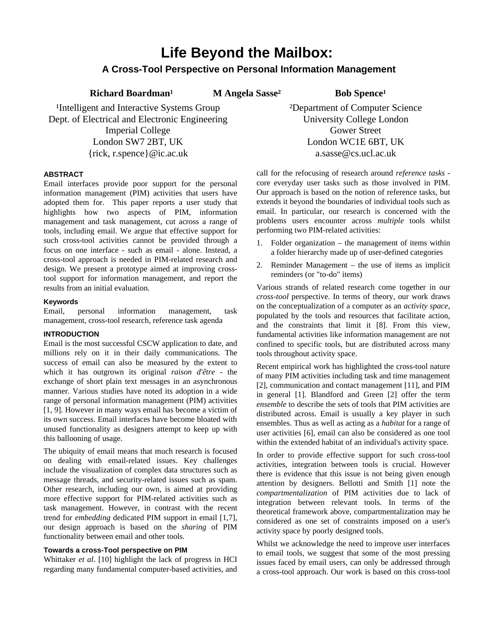# **Life Beyond the Mailbox:**

## **A Cross-Tool Perspective on Personal Information Management**

Richard Boardman<sup>1</sup> M Angela Sasse<sup>2</sup> Bob Spence<sup>1</sup>

<sup>1</sup>Intelligent and Interactive Systems Group Dept. of Electrical and Electronic Engineering Imperial College London SW7 2BT, UK {rick, r.spence}@ic.ac.uk

#### **ABSTRACT**

Email interfaces provide poor support for the personal information management (PIM) activities that users have adopted them for. This paper reports a user study that highlights how two aspects of PIM, information management and task management, cut across a range of tools, including email. We argue that effective support for such cross-tool activities cannot be provided through a focus on one interface - such as email - alone. Instead, a cross-tool approach is needed in PIM-related research and design. We present a prototype aimed at improving crosstool support for information management, and report the results from an initial evaluation.

#### **Keywords**

Email, personal information management, task management, cross-tool research, reference task agenda

#### **INTRODUCTION**

Email is the most successful CSCW application to date, and millions rely on it in their daily communications. The success of email can also be measured by the extent to which it has outgrown its original *raison d'être* - the exchange of short plain text messages in an asynchronous manner. Various studies have noted its adoption in a wide range of personal information management (PIM) activities [1, 9]. However in many ways email has become a victim of its own success. Email interfaces have become bloated with unused functionality as designers attempt to keep up with this ballooning of usage.

The ubiquity of email means that much research is focused on dealing with email-related issues. Key challenges include the visualization of complex data structures such as message threads, and security-related issues such as spam. Other research, including our own, is aimed at providing more effective support for PIM-related activities such as task management. However, in contrast with the recent trend for *embedding* dedicated PIM support in email [1,7], our design approach is based on the *sharing* of PIM functionality between email and other tools.

#### **Towards a cross-Tool perspective on PIM**

Whittaker *et al*. [10] highlight the lack of progress in HCI regarding many fundamental computer-based activities, and ²Department of Computer Science University College London Gower Street London WC1E 6BT, UK a.sasse@cs.ucl.ac.uk

call for the refocusing of research around *reference tasks* core everyday user tasks such as those involved in PIM. Our approach is based on the notion of reference tasks, but extends it beyond the boundaries of individual tools such as email. In particular, our research is concerned with the problems users encounter across *multiple* tools whilst performing two PIM-related activities:

- 1. Folder organization the management of items within a folder hierarchy made up of user-defined categories
- 2. Reminder Management the use of items as implicit reminders (or "to-do" items)

Various strands of related research come together in our *cross-tool* perspective. In terms of theory, our work draws on the conceptualization of a computer as an *activity space*, populated by the tools and resources that facilitate action, and the constraints that limit it [8]. From this view, fundamental activities like information management are not confined to specific tools, but are distributed across many tools throughout activity space.

Recent empirical work has highlighted the cross-tool nature of many PIM activities including task and time management [2], communication and contact management [11], and PIM in general [1]. Blandford and Green [2] offer the term *ensemble* to describe the sets of tools that PIM activities are distributed across. Email is usually a key player in such ensembles. Thus as well as acting as a *habitat* for a range of user activities [6], email can also be considered as one tool within the extended habitat of an individual's activity space.

In order to provide effective support for such cross-tool activities, integration between tools is crucial. However there is evidence that this issue is not being given enough attention by designers. Bellotti and Smith [1] note the *compartmentalization* of PIM activities due to lack of integration between relevant tools. In terms of the theoretical framework above, compartmentalization may be considered as one set of constraints imposed on a user's activity space by poorly designed tools.

Whilst we acknowledge the need to improve user interfaces to email tools, we suggest that some of the most pressing issues faced by email users, can only be addressed through a cross-tool approach. Our work is based on this cross-tool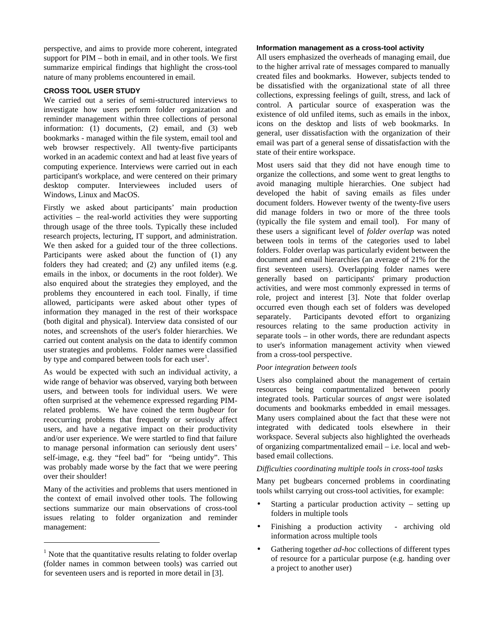perspective, and aims to provide more coherent, integrated support for PIM – both in email, and in other tools. We first summarize empirical findings that highlight the cross-tool nature of many problems encountered in email.

#### **CROSS TOOL USER STUDY**

We carried out a series of semi-structured interviews to investigate how users perform folder organization and reminder management within three collections of personal information: (1) documents, (2) email, and (3) web bookmarks - managed within the file system, email tool and web browser respectively. All twenty-five participants worked in an academic context and had at least five years of computing experience. Interviews were carried out in each participant's workplace, and were centered on their primary desktop computer. Interviewees included users of Windows, Linux and MacOS.

Firstly we asked about participants' main production activities – the real-world activities they were supporting through usage of the three tools. Typically these included research projects, lecturing, IT support, and administration. We then asked for a guided tour of the three collections. Participants were asked about the function of (1) any folders they had created; and (2) any unfiled items (e.g. emails in the inbox, or documents in the root folder). We also enquired about the strategies they employed, and the problems they encountered in each tool. Finally, if time allowed, participants were asked about other types of information they managed in the rest of their workspace (both digital and physical). Interview data consisted of our notes, and screenshots of the user's folder hierarchies. We carried out content analysis on the data to identify common user strategies and problems. Folder names were classified by type and compared between tools for each user<sup>1</sup>.

As would be expected with such an individual activity, a wide range of behavior was observed, varying both between users, and between tools for individual users. We were often surprised at the vehemence expressed regarding PIMrelated problems. We have coined the term *bugbear* for reoccurring problems that frequently or seriously affect users, and have a negative impact on their productivity and/or user experience. We were startled to find that failure to manage personal information can seriously dent users' self-image, e.g. they "feel bad" for "being untidy". This was probably made worse by the fact that we were peering over their shoulder!

Many of the activities and problems that users mentioned in the context of email involved other tools. The following sections summarize our main observations of cross-tool issues relating to folder organization and reminder management:

l

#### **Information management as a cross-tool activity**

All users emphasized the overheads of managing email, due to the higher arrival rate of messages compared to manually created files and bookmarks. However, subjects tended to be dissatisfied with the organizational state of all three collections, expressing feelings of guilt, stress, and lack of control. A particular source of exasperation was the existence of old unfiled items, such as emails in the inbox, icons on the desktop and lists of web bookmarks. In general, user dissatisfaction with the organization of their email was part of a general sense of dissatisfaction with the state of their entire workspace.

Most users said that they did not have enough time to organize the collections, and some went to great lengths to avoid managing multiple hierarchies. One subject had developed the habit of saving emails as files under document folders. However twenty of the twenty-five users did manage folders in two or more of the three tools (typically the file system and email tool). For many of these users a significant level of *folder overlap* was noted between tools in terms of the categories used to label folders. Folder overlap was particularly evident between the document and email hierarchies (an average of 21% for the first seventeen users). Overlapping folder names were generally based on participants' primary production activities, and were most commonly expressed in terms of role, project and interest [3]. Note that folder overlap occurred even though each set of folders was developed separately. Participants devoted effort to organizing resources relating to the same production activity in separate tools – in other words, there are redundant aspects to user's information management activity when viewed from a cross-tool perspective.

#### *Poor integration between tools*

Users also complained about the management of certain resources being compartmentalized between poorly integrated tools. Particular sources of *angst* were isolated documents and bookmarks embedded in email messages. Many users complained about the fact that these were not integrated with dedicated tools elsewhere in their workspace. Several subjects also highlighted the overheads of organizing compartmentalized email – i.e. local and webbased email collections.

#### *Difficulties coordinating multiple tools in cross-tool tasks*

Many pet bugbears concerned problems in coordinating tools whilst carrying out cross-tool activities, for example:

- Starting a particular production activity  $-$  setting up folders in multiple tools
- Finishing a production activity archiving old information across multiple tools
- Gathering together *ad-hoc* collections of different types of resource for a particular purpose (e.g. handing over a project to another user)

 $<sup>1</sup>$  Note that the quantitative results relating to folder overlap</sup> (folder names in common between tools) was carried out for seventeen users and is reported in more detail in [3].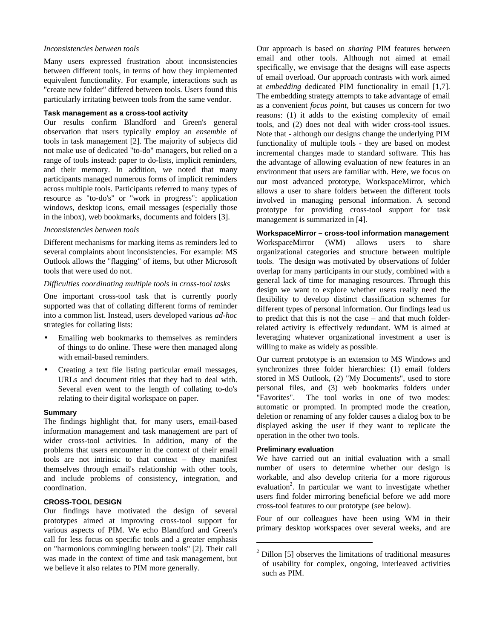#### *Inconsistencies between tools*

Many users expressed frustration about inconsistencies between different tools, in terms of how they implemented equivalent functionality. For example, interactions such as "create new folder" differed between tools. Users found this particularly irritating between tools from the same vendor.

#### **Task management as a cross-tool activity**

Our results confirm Blandford and Green's general observation that users typically employ an *ensemble* of tools in task management [2]. The majority of subjects did not make use of dedicated "to-do" managers, but relied on a range of tools instead: paper to do-lists, implicit reminders, and their memory. In addition, we noted that many participants managed numerous forms of implicit reminders across multiple tools. Participants referred to many types of resource as "to-do's" or "work in progress": application windows, desktop icons, email messages (especially those in the inbox), web bookmarks, documents and folders [3].

#### *Inconsistencies between tools*

Different mechanisms for marking items as reminders led to several complaints about inconsistencies. For example: MS Outlook allows the "flagging" of items, but other Microsoft tools that were used do not.

#### *Difficulties coordinating multiple tools in cross-tool tasks*

One important cross-tool task that is currently poorly supported was that of collating different forms of reminder into a common list. Instead, users developed various *ad-hoc* strategies for collating lists:

- Emailing web bookmarks to themselves as reminders of things to do online. These were then managed along with email-based reminders.
- Creating a text file listing particular email messages, URLs and document titles that they had to deal with. Several even went to the length of collating to-do's relating to their digital workspace on paper.

#### **Summary**

The findings highlight that, for many users, email-based information management and task management are part of wider cross-tool activities. In addition, many of the problems that users encounter in the context of their email tools are not intrinsic to that context – they manifest themselves through email's relationship with other tools, and include problems of consistency, integration, and coordination.

### **CROSS-TOOL DESIGN**

Our findings have motivated the design of several prototypes aimed at improving cross-tool support for various aspects of PIM. We echo Blandford and Green's call for less focus on specific tools and a greater emphasis on "harmonious commingling between tools" [2]. Their call was made in the context of time and task management, but we believe it also relates to PIM more generally.

Our approach is based on *sharing* PIM features between email and other tools. Although not aimed at email specifically, we envisage that the designs will ease aspects of email overload. Our approach contrasts with work aimed at *embedding* dedicated PIM functionality in email [1,7]. The embedding strategy attempts to take advantage of email as a convenient *focus point*, but causes us concern for two reasons: (1) it adds to the existing complexity of email tools, and (2) does not deal with wider cross-tool issues. Note that - although our designs change the underlying PIM functionality of multiple tools - they are based on modest incremental changes made to standard software. This has the advantage of allowing evaluation of new features in an environment that users are familiar with. Here, we focus on our most advanced prototype, WorkspaceMirror, which allows a user to share folders between the different tools involved in managing personal information. A second prototype for providing cross-tool support for task management is summarized in [4].

**WorkspaceMirror – cross-tool information management** WorkspaceMirror (WM) allows users to share organizational categories and structure between multiple tools. The design was motivated by observations of folder overlap for many participants in our study, combined with a general lack of time for managing resources. Through this design we want to explore whether users really need the flexibility to develop distinct classification schemes for different types of personal information. Our findings lead us to predict that this is not the case – and that much folderrelated activity is effectively redundant. WM is aimed at leveraging whatever organizational investment a user is willing to make as widely as possible.

Our current prototype is an extension to MS Windows and synchronizes three folder hierarchies: (1) email folders stored in MS Outlook, (2) "My Documents", used to store personal files, and (3) web bookmarks folders under "Favorites". The tool works in one of two modes: automatic or prompted. In prompted mode the creation, deletion or renaming of any folder causes a dialog box to be displayed asking the user if they want to replicate the operation in the other two tools.

#### **Preliminary evaluation**

 $\overline{a}$ 

We have carried out an initial evaluation with a small number of users to determine whether our design is workable, and also develop criteria for a more rigorous evaluation<sup>2</sup>. In particular we want to investigate whether users find folder mirroring beneficial before we add more cross-tool features to our prototype (see below).

Four of our colleagues have been using WM in their primary desktop workspaces over several weeks, and are

 $2$  Dillon [5] observes the limitations of traditional measures of usability for complex, ongoing, interleaved activities such as PIM.